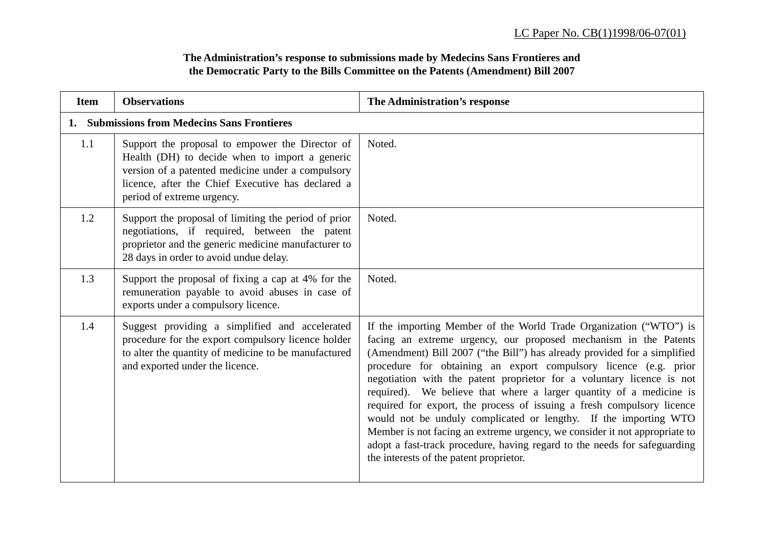## **The Administration's response to submissions made by Medecins Sans Frontieres and the Democratic Party to the Bills Committee on the Patents (Amendment) Bill 2007**

| <b>Item</b>                                  | <b>Observations</b>                                                                                                                                                                                                                       | The Administration's response                                                                                                                                                                                                                                                                                                                                                                                                                                                                                                                                                                                                                                                                                                                                                              |  |
|----------------------------------------------|-------------------------------------------------------------------------------------------------------------------------------------------------------------------------------------------------------------------------------------------|--------------------------------------------------------------------------------------------------------------------------------------------------------------------------------------------------------------------------------------------------------------------------------------------------------------------------------------------------------------------------------------------------------------------------------------------------------------------------------------------------------------------------------------------------------------------------------------------------------------------------------------------------------------------------------------------------------------------------------------------------------------------------------------------|--|
| 1. Submissions from Medecins Sans Frontieres |                                                                                                                                                                                                                                           |                                                                                                                                                                                                                                                                                                                                                                                                                                                                                                                                                                                                                                                                                                                                                                                            |  |
| 1.1                                          | Support the proposal to empower the Director of<br>Health (DH) to decide when to import a generic<br>version of a patented medicine under a compulsory<br>licence, after the Chief Executive has declared a<br>period of extreme urgency. | Noted.                                                                                                                                                                                                                                                                                                                                                                                                                                                                                                                                                                                                                                                                                                                                                                                     |  |
| 1.2                                          | Support the proposal of limiting the period of prior<br>negotiations, if required, between the patent<br>proprietor and the generic medicine manufacturer to<br>28 days in order to avoid undue delay.                                    | Noted.                                                                                                                                                                                                                                                                                                                                                                                                                                                                                                                                                                                                                                                                                                                                                                                     |  |
| 1.3                                          | Support the proposal of fixing a cap at 4% for the<br>remuneration payable to avoid abuses in case of<br>exports under a compulsory licence.                                                                                              | Noted.                                                                                                                                                                                                                                                                                                                                                                                                                                                                                                                                                                                                                                                                                                                                                                                     |  |
| 1.4                                          | Suggest providing a simplified and accelerated<br>procedure for the export compulsory licence holder<br>to alter the quantity of medicine to be manufactured<br>and exported under the licence.                                           | If the importing Member of the World Trade Organization ("WTO") is<br>facing an extreme urgency, our proposed mechanism in the Patents<br>(Amendment) Bill 2007 ("the Bill") has already provided for a simplified<br>procedure for obtaining an export compulsory licence (e.g. prior<br>negotiation with the patent proprietor for a voluntary licence is not<br>required). We believe that where a larger quantity of a medicine is<br>required for export, the process of issuing a fresh compulsory licence<br>would not be unduly complicated or lengthy. If the importing WTO<br>Member is not facing an extreme urgency, we consider it not appropriate to<br>adopt a fast-track procedure, having regard to the needs for safeguarding<br>the interests of the patent proprietor. |  |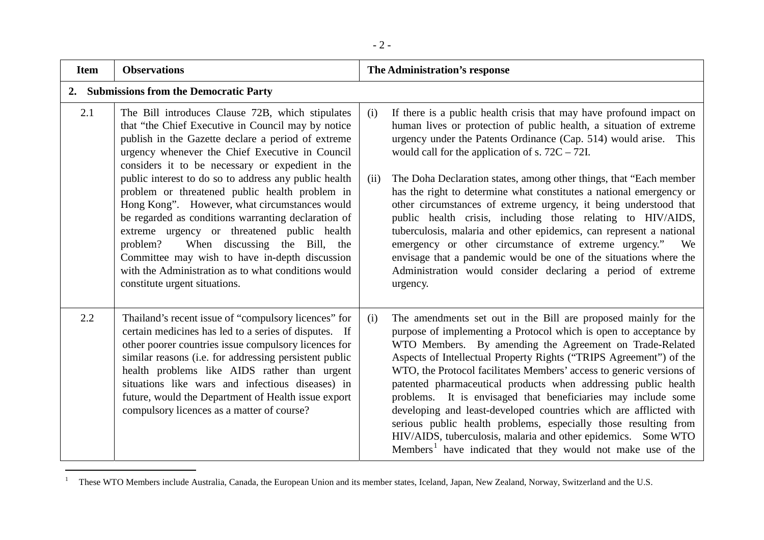| <b>Item</b> | <b>Observations</b>                                                                                                                                                                                                                                                                                                                                                                                                                                                                                                                                                                                                                                                                                                          | The Administration's response                                                                                                                                                                                                                                                                                                                                                                                                                                                                                                                                                                                                                                                                                                                                                                                                                         |
|-------------|------------------------------------------------------------------------------------------------------------------------------------------------------------------------------------------------------------------------------------------------------------------------------------------------------------------------------------------------------------------------------------------------------------------------------------------------------------------------------------------------------------------------------------------------------------------------------------------------------------------------------------------------------------------------------------------------------------------------------|-------------------------------------------------------------------------------------------------------------------------------------------------------------------------------------------------------------------------------------------------------------------------------------------------------------------------------------------------------------------------------------------------------------------------------------------------------------------------------------------------------------------------------------------------------------------------------------------------------------------------------------------------------------------------------------------------------------------------------------------------------------------------------------------------------------------------------------------------------|
| 2.          | <b>Submissions from the Democratic Party</b>                                                                                                                                                                                                                                                                                                                                                                                                                                                                                                                                                                                                                                                                                 |                                                                                                                                                                                                                                                                                                                                                                                                                                                                                                                                                                                                                                                                                                                                                                                                                                                       |
| 2.1         | The Bill introduces Clause 72B, which stipulates<br>that "the Chief Executive in Council may by notice<br>publish in the Gazette declare a period of extreme<br>urgency whenever the Chief Executive in Council<br>considers it to be necessary or expedient in the<br>public interest to do so to address any public health<br>problem or threatened public health problem in<br>Hong Kong". However, what circumstances would<br>be regarded as conditions warranting declaration of<br>extreme urgency or threatened public health<br>When discussing the Bill, the<br>problem?<br>Committee may wish to have in-depth discussion<br>with the Administration as to what conditions would<br>constitute urgent situations. | If there is a public health crisis that may have profound impact on<br>(i)<br>human lives or protection of public health, a situation of extreme<br>urgency under the Patents Ordinance (Cap. 514) would arise. This<br>would call for the application of s. $72C - 72I$ .<br>The Doha Declaration states, among other things, that "Each member"<br>(ii)<br>has the right to determine what constitutes a national emergency or<br>other circumstances of extreme urgency, it being understood that<br>public health crisis, including those relating to HIV/AIDS,<br>tuberculosis, malaria and other epidemics, can represent a national<br>emergency or other circumstance of extreme urgency." We<br>envisage that a pandemic would be one of the situations where the<br>Administration would consider declaring a period of extreme<br>urgency. |
| 2.2         | Thailand's recent issue of "compulsory licences" for<br>certain medicines has led to a series of disputes. If<br>other poorer countries issue compulsory licences for<br>similar reasons (i.e. for addressing persistent public<br>health problems like AIDS rather than urgent<br>situations like wars and infectious diseases) in<br>future, would the Department of Health issue export<br>compulsory licences as a matter of course?                                                                                                                                                                                                                                                                                     | The amendments set out in the Bill are proposed mainly for the<br>(i)<br>purpose of implementing a Protocol which is open to acceptance by<br>WTO Members. By amending the Agreement on Trade-Related<br>Aspects of Intellectual Property Rights ("TRIPS Agreement") of the<br>WTO, the Protocol facilitates Members' access to generic versions of<br>patented pharmaceutical products when addressing public health<br>problems. It is envisaged that beneficiaries may include some<br>developing and least-developed countries which are afflicted with<br>serious public health problems, especially those resulting from<br>HIV/AIDS, tuberculosis, malaria and other epidemics. Some WTO<br>Members <sup>1</sup> have indicated that they would not make use of the                                                                            |

<sup>&</sup>lt;sup>1</sup> These WTO Members include Australia, Canada, the European Union and its member states, Iceland, Japan, New Zealand, Norway, Switzerland and the U.S.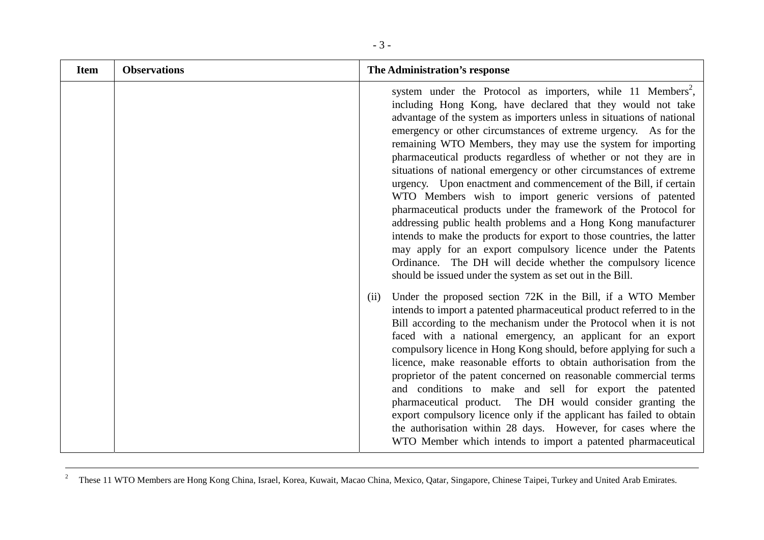| <b>Item</b> | <b>Observations</b> | The Administration's response                                                                                                                                                                                                                                                                                                                                                                                                                                                                                                                                                                                                                                                                                                                                                                                                                                                                                                                                                                                                           |
|-------------|---------------------|-----------------------------------------------------------------------------------------------------------------------------------------------------------------------------------------------------------------------------------------------------------------------------------------------------------------------------------------------------------------------------------------------------------------------------------------------------------------------------------------------------------------------------------------------------------------------------------------------------------------------------------------------------------------------------------------------------------------------------------------------------------------------------------------------------------------------------------------------------------------------------------------------------------------------------------------------------------------------------------------------------------------------------------------|
|             |                     | system under the Protocol as importers, while 11 Members <sup>2</sup> ,<br>including Hong Kong, have declared that they would not take<br>advantage of the system as importers unless in situations of national<br>emergency or other circumstances of extreme urgency. As for the<br>remaining WTO Members, they may use the system for importing<br>pharmaceutical products regardless of whether or not they are in<br>situations of national emergency or other circumstances of extreme<br>urgency. Upon enactment and commencement of the Bill, if certain<br>WTO Members wish to import generic versions of patented<br>pharmaceutical products under the framework of the Protocol for<br>addressing public health problems and a Hong Kong manufacturer<br>intends to make the products for export to those countries, the latter<br>may apply for an export compulsory licence under the Patents<br>Ordinance. The DH will decide whether the compulsory licence<br>should be issued under the system as set out in the Bill. |
|             |                     | Under the proposed section 72K in the Bill, if a WTO Member<br>(ii)<br>intends to import a patented pharmaceutical product referred to in the<br>Bill according to the mechanism under the Protocol when it is not<br>faced with a national emergency, an applicant for an export<br>compulsory licence in Hong Kong should, before applying for such a<br>licence, make reasonable efforts to obtain authorisation from the<br>proprietor of the patent concerned on reasonable commercial terms<br>and conditions to make and sell for export the patented<br>pharmaceutical product. The DH would consider granting the<br>export compulsory licence only if the applicant has failed to obtain<br>the authorisation within 28 days. However, for cases where the<br>WTO Member which intends to import a patented pharmaceutical                                                                                                                                                                                                    |

<sup>&</sup>lt;sup>2</sup> These 11 WTO Members are Hong Kong China, Israel, Korea, Kuwait, Macao China, Mexico, Qatar, Singapore, Chinese Taipei, Turkey and United Arab Emirates.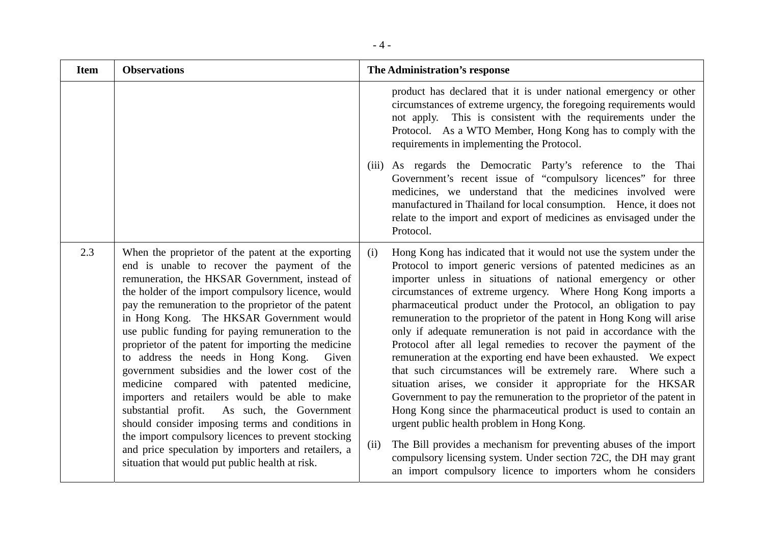| <b>Item</b> | <b>Observations</b>                                                                                                                                                                                                                                                                                                                                                                                                                                                                                                                                                                                                                                                                                                                                                                                                                                                                         | The Administration's response                                                                                                                                                                                                                                                                                                                                                                                                                                                                                                                                                                                                                                                                                                                                                                                                                                                                                                                                                                                                                                                                                                                                              |
|-------------|---------------------------------------------------------------------------------------------------------------------------------------------------------------------------------------------------------------------------------------------------------------------------------------------------------------------------------------------------------------------------------------------------------------------------------------------------------------------------------------------------------------------------------------------------------------------------------------------------------------------------------------------------------------------------------------------------------------------------------------------------------------------------------------------------------------------------------------------------------------------------------------------|----------------------------------------------------------------------------------------------------------------------------------------------------------------------------------------------------------------------------------------------------------------------------------------------------------------------------------------------------------------------------------------------------------------------------------------------------------------------------------------------------------------------------------------------------------------------------------------------------------------------------------------------------------------------------------------------------------------------------------------------------------------------------------------------------------------------------------------------------------------------------------------------------------------------------------------------------------------------------------------------------------------------------------------------------------------------------------------------------------------------------------------------------------------------------|
|             |                                                                                                                                                                                                                                                                                                                                                                                                                                                                                                                                                                                                                                                                                                                                                                                                                                                                                             | product has declared that it is under national emergency or other<br>circumstances of extreme urgency, the foregoing requirements would<br>not apply. This is consistent with the requirements under the<br>Protocol. As a WTO Member, Hong Kong has to comply with the<br>requirements in implementing the Protocol.                                                                                                                                                                                                                                                                                                                                                                                                                                                                                                                                                                                                                                                                                                                                                                                                                                                      |
|             |                                                                                                                                                                                                                                                                                                                                                                                                                                                                                                                                                                                                                                                                                                                                                                                                                                                                                             | As regards the Democratic Party's reference to the Thai<br>(iii)<br>Government's recent issue of "compulsory licences" for three<br>medicines, we understand that the medicines involved were<br>manufactured in Thailand for local consumption. Hence, it does not<br>relate to the import and export of medicines as envisaged under the<br>Protocol.                                                                                                                                                                                                                                                                                                                                                                                                                                                                                                                                                                                                                                                                                                                                                                                                                    |
| 2.3         | When the proprietor of the patent at the exporting<br>end is unable to recover the payment of the<br>remuneration, the HKSAR Government, instead of<br>the holder of the import compulsory licence, would<br>pay the remuneration to the proprietor of the patent<br>in Hong Kong. The HKSAR Government would<br>use public funding for paying remuneration to the<br>proprietor of the patent for importing the medicine<br>to address the needs in Hong Kong.<br>Given<br>government subsidies and the lower cost of the<br>medicine compared with patented medicine,<br>importers and retailers would be able to make<br>substantial profit. As such, the Government<br>should consider imposing terms and conditions in<br>the import compulsory licences to prevent stocking<br>and price speculation by importers and retailers, a<br>situation that would put public health at risk. | Hong Kong has indicated that it would not use the system under the<br>(i)<br>Protocol to import generic versions of patented medicines as an<br>importer unless in situations of national emergency or other<br>circumstances of extreme urgency. Where Hong Kong imports a<br>pharmaceutical product under the Protocol, an obligation to pay<br>remuneration to the proprietor of the patent in Hong Kong will arise<br>only if adequate remuneration is not paid in accordance with the<br>Protocol after all legal remedies to recover the payment of the<br>remuneration at the exporting end have been exhausted. We expect<br>that such circumstances will be extremely rare. Where such a<br>situation arises, we consider it appropriate for the HKSAR<br>Government to pay the remuneration to the proprietor of the patent in<br>Hong Kong since the pharmaceutical product is used to contain an<br>urgent public health problem in Hong Kong.<br>The Bill provides a mechanism for preventing abuses of the import<br>(ii)<br>compulsory licensing system. Under section 72C, the DH may grant<br>an import compulsory licence to importers whom he considers |